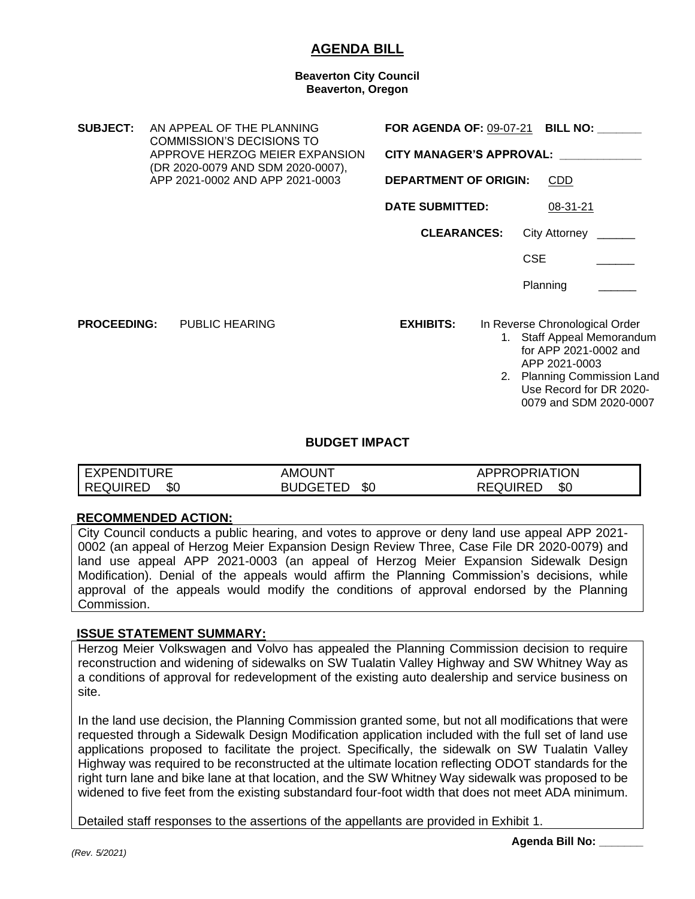# **AGENDA BILL**

#### **Beaverton City Council Beaverton, Oregon**

**SUBJECT:** AN APPEAL OF THE PLANNING COMMISSION'S DECISIONS TO APPROVE HERZOG MEIER EXPANSION (DR 2020-0079 AND SDM 2020-0007), APP 2021-0002 AND APP 2021-0003 **FOR AGENDA OF:** 09-07-21 **BILL NO: \_\_\_\_\_\_\_ CITY MANAGER'S APPROVAL: \_\_\_\_\_\_\_\_\_\_\_\_\_ DEPARTMENT OF ORIGIN:** CDD **DATE SUBMITTED:** 08-31-21 **CLEARANCES:** City Attorney \_\_\_\_\_\_ CSE Planning **PROCEEDING:** PUBLIC HEARING **EXHIBITS:** In Reverse Chronological Order 1. Staff Appeal Memorandum for APP 2021-0002 and APP 2021-0003 2. Planning Commission Land Use Record for DR 2020-

### **BUDGET IMPACT**

| <b>EXPENDITURE</b> | AMOUNT       | APPROPRIATION          |
|--------------------|--------------|------------------------|
| REQUIRED<br>\$0    | BUDGETED \$0 | \$0<br><b>REQUIRED</b> |

### **RECOMMENDED ACTION:**

City Council conducts a public hearing, and votes to approve or deny land use appeal APP 2021- 0002 (an appeal of Herzog Meier Expansion Design Review Three, Case File DR 2020-0079) and land use appeal APP 2021-0003 (an appeal of Herzog Meier Expansion Sidewalk Design Modification). Denial of the appeals would affirm the Planning Commission's decisions, while approval of the appeals would modify the conditions of approval endorsed by the Planning Commission.

### **ISSUE STATEMENT SUMMARY:**

Herzog Meier Volkswagen and Volvo has appealed the Planning Commission decision to require reconstruction and widening of sidewalks on SW Tualatin Valley Highway and SW Whitney Way as a conditions of approval for redevelopment of the existing auto dealership and service business on site.

In the land use decision, the Planning Commission granted some, but not all modifications that were requested through a Sidewalk Design Modification application included with the full set of land use applications proposed to facilitate the project. Specifically, the sidewalk on SW Tualatin Valley Highway was required to be reconstructed at the ultimate location reflecting ODOT standards for the right turn lane and bike lane at that location, and the SW Whitney Way sidewalk was proposed to be widened to five feet from the existing substandard four-foot width that does not meet ADA minimum.

Detailed staff responses to the assertions of the appellants are provided in Exhibit 1.

0079 and SDM 2020-0007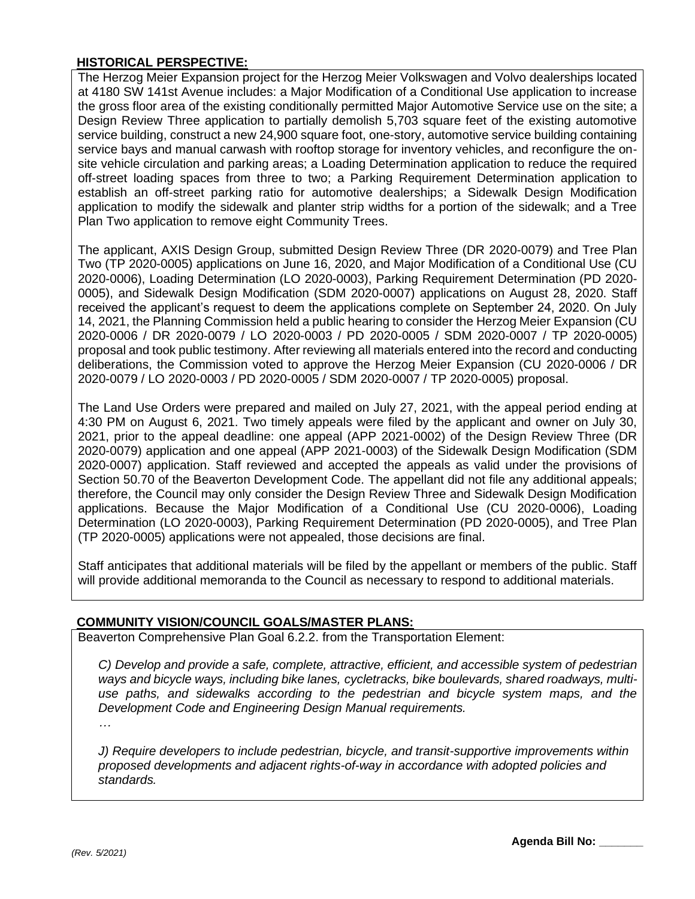# **HISTORICAL PERSPECTIVE:**

The Herzog Meier Expansion project for the Herzog Meier Volkswagen and Volvo dealerships located at 4180 SW 141st Avenue includes: a Major Modification of a Conditional Use application to increase the gross floor area of the existing conditionally permitted Major Automotive Service use on the site; a Design Review Three application to partially demolish 5,703 square feet of the existing automotive service building, construct a new 24,900 square foot, one-story, automotive service building containing service bays and manual carwash with rooftop storage for inventory vehicles, and reconfigure the onsite vehicle circulation and parking areas; a Loading Determination application to reduce the required off-street loading spaces from three to two; a Parking Requirement Determination application to establish an off-street parking ratio for automotive dealerships; a Sidewalk Design Modification application to modify the sidewalk and planter strip widths for a portion of the sidewalk; and a Tree Plan Two application to remove eight Community Trees.

The applicant, AXIS Design Group, submitted Design Review Three (DR 2020-0079) and Tree Plan Two (TP 2020-0005) applications on June 16, 2020, and Major Modification of a Conditional Use (CU 2020-0006), Loading Determination (LO 2020-0003), Parking Requirement Determination (PD 2020- 0005), and Sidewalk Design Modification (SDM 2020-0007) applications on August 28, 2020. Staff received the applicant's request to deem the applications complete on September 24, 2020. On July 14, 2021, the Planning Commission held a public hearing to consider the Herzog Meier Expansion (CU 2020-0006 / DR 2020-0079 / LO 2020-0003 / PD 2020-0005 / SDM 2020-0007 / TP 2020-0005) proposal and took public testimony. After reviewing all materials entered into the record and conducting deliberations, the Commission voted to approve the Herzog Meier Expansion (CU 2020-0006 / DR 2020-0079 / LO 2020-0003 / PD 2020-0005 / SDM 2020-0007 / TP 2020-0005) proposal.

The Land Use Orders were prepared and mailed on July 27, 2021, with the appeal period ending at 4:30 PM on August 6, 2021. Two timely appeals were filed by the applicant and owner on July 30, 2021, prior to the appeal deadline: one appeal (APP 2021-0002) of the Design Review Three (DR 2020-0079) application and one appeal (APP 2021-0003) of the Sidewalk Design Modification (SDM 2020-0007) application. Staff reviewed and accepted the appeals as valid under the provisions of Section 50.70 of the Beaverton Development Code. The appellant did not file any additional appeals; therefore, the Council may only consider the Design Review Three and Sidewalk Design Modification applications. Because the Major Modification of a Conditional Use (CU 2020-0006), Loading Determination (LO 2020-0003), Parking Requirement Determination (PD 2020-0005), and Tree Plan (TP 2020-0005) applications were not appealed, those decisions are final.

Staff anticipates that additional materials will be filed by the appellant or members of the public. Staff will provide additional memoranda to the Council as necessary to respond to additional materials.

# **COMMUNITY VISION/COUNCIL GOALS/MASTER PLANS:**

Beaverton Comprehensive Plan Goal 6.2.2. from the Transportation Element:

*C) Develop and provide a safe, complete, attractive, efficient, and accessible system of pedestrian ways and bicycle ways, including bike lanes, cycletracks, bike boulevards, shared roadways, multiuse paths, and sidewalks according to the pedestrian and bicycle system maps, and the Development Code and Engineering Design Manual requirements.*

*…*

*J) Require developers to include pedestrian, bicycle, and transit-supportive improvements within proposed developments and adjacent rights-of-way in accordance with adopted policies and standards.*